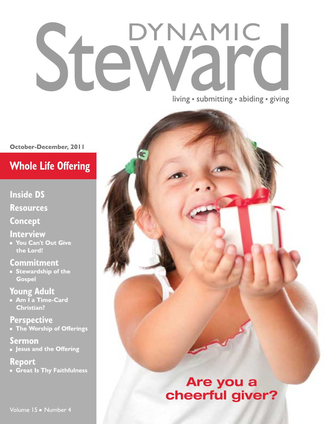# DYNAMIC Stei

living · submitting · abiding · giving

October-December, 2011

### **Whole Life Offering**

**Inside DS** 

**Resources** 

**Concept** 

**Interview** 

Vou Can't Out Give the Lord!

**Commitment** 

Stewardship of the **Gospel** 

**Young Adult** • Am I a Time-Card

**Christian?** 

**Perspective The Worship of Offerings** 

Sermon **Jesus and the Offering** 

**Report** Great Is Thy Faithfulness

Volume 15 Number 4

### Are you a cheerful giver?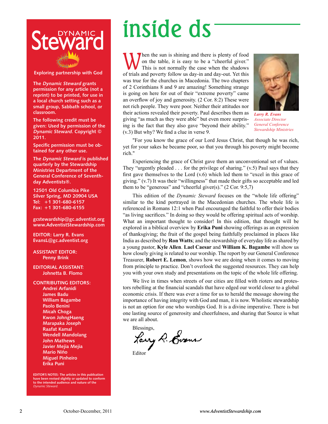

**Exploring partnership with God** 

**The Dynamic Steward grants permission for any article (not a reprint) to be printed, for use in a local church setting such as a small group, Sabbath school, or classroom.** 

**The following credit must be given: Used by permission of the Dynamic Steward. Copyright © 2011.** 

**Specific permission must be obtained for any other use.** 

**The Dynamic Steward is published quarterly by the Stewardship Ministries Department of the General Conference of Seventhday Adventists®.**

**12501 Old Columbia Pike Silver Spring, MD 20904 USA Tel: +1 301-680-6157 Fax: +1 301-680-6155**

**gcstewardship@gc.adventist.org www.AdventistStewardship.com**

**EDITOR: Larry R. Evans EvansL@gc.adventist.org**

**ASSISTANT EDITOR: Penny Brink**

**EDITORIAL ASSISTANT: Johnetta B. Flomo**

**CONTRIBUTING EDITORS: Andrei Arfanidi James Badu William Bagambe Paolo Benini Micah Choga Kwon JohngHaeng Marapaka Joseph Raafat Kamal Wendell Mandolang John Mathews Javier Mejia Mejia Mario Niño Miguel Pinheiro Erika Puni**

**EDITOR'S NOTES: The articles in this publication have been revised slightly or updated to conform to the intended audience and nature of the**  Dynamic Steward.

## inside ds

When the sun is shining and there is plenty of food<br>on the table, it is easy to be a "cheerful giver."<br>This is not normally the case when the shadows on the table, it is easy to be a "cheerful giver." This is not normally the case when the shadows of trials and poverty follow us day-in and day-out. Yet this was true for the churches in Macedonia. The two chapters of 2 Corinthians 8 and 9 are amazing! Something strange is going on here for out of their "extreme poverty" came an overflow of joy and generosity. (2 Cor. 8:2) These were not rich people. They were poor. Neither their attitudes nor their actions revealed their poverty. Paul describes them as giving "as much as they were able" but even more surprising is the fact that they also gave "beyond their ability." (v.3) But why? We find a clue in verse 9.



*Larry R. Evans Associate Director General Conference Stewardship Ministries*

"For you know the grace of our Lord Jesus Christ, that though he was rich, yet for your sakes he became poor, so that you through his poverty might become rich."

Experiencing the grace of Christ gave them an unconventional set of values. They "urgently pleaded . . . for the privilege of sharing." (v.5) Paul says that they first gave themselves to the Lord  $(v.6)$  which led them to "excel in this grace of giving." (v.7) It was their "willingness" that made their gifts so acceptable and led them to be "generous" and "cheerful giver(s)." (2 Cor. 9:5,7)

This edition of the *Dynamic Steward* focuses on the "whole life offering" similar to the kind portrayed in the Macedonian churches. The whole life is referenced in Romans 12:1 when Paul encouraged the faithful to offer their bodies "as living sacrifices." In doing so they would be offering spiritual acts of worship. What an important thought to consider! In this edition, that thought will be explored in a biblical overview by **Erika Puni** showing offerings as an expression of thanksgiving; the fruit of the gospel being faithfully proclaimed in places like India as described by **Ron Watts**; and the stewardship of everyday life as shared by a young pastor, **Kyle Allen**. **Lael Caesar** and **William K. Bagambe** will show us how closely giving is related to our worship. The report by our General Conference Treasurer, **Robert E. Lemon**, shows how we are doing when it comes to moving from principle to practice. Don't overlook the suggested resources. They can help you with your own study and presentations on the topic of the whole life offering.

We live in times when streets of our cities are filled with rioters and protestors rebelling at the financial scandals that have edged our world closer to a global economic crisis. If there was ever a time for us to herald the message showing the importance of having integrity with God and man, it is now. Wholistic stewardship is not an option for one who worships God. It is a divine imperative. There is but one lasting source of generosity and cheerfulness, and sharing that Source is what we are all about.

Blessings,

Lary R. Goom Editor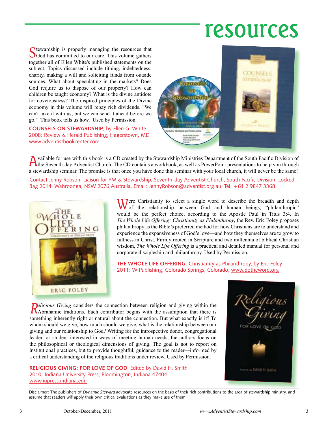### resources

Stewardship is properly managing the resources that SGod has committed to our care. This volume gathers together all of Ellen White's published statements on the subject. Topics discussed include tithing, indebtedness, charity, making a will and soliciting funds from outside sources. What about speculating in the markets? Does God require us to dispose of our property? How can children be taught economy? What is the divine antidote for covetousness? The inspired principles of the Divine economy in this volume will repay rich dividends. "We can't take it with us, but we can send it ahead before we go." This book tells us how. Used by Permission.

**COUNSELS ON STEWARDSHIP**, by Ellen G. White 2008: Review & Herald Publishing, Hagerstown, MD www.adventistbookcenter.com



A vailable for use with this book is a CD created by the Stewardship Ministries Department of the South Pacific Division of the Seventh-day Adventist Church. The CD contains a workbook, as well as PowerPoint presentations a stewardship seminar. The promise is that once you have done this seminar with your local church, it will never be the same!

Contact Jenny Robson, Liaison for PM & Stewardship, Seventh-day Adventist Church, South Pacific Division, Locked Bag 2014, Wahroonga, NSW 2076 Australia. Email: JennyRobson@adventist.org.au. Tel: +61 2 9847 3368.



Were Christianity to select a single word to describe the breadth and depth of the relationship between God and human beings, "philanthropic" would be the perfect choice, according to the Apostle Paul in Titus 3:4. In *The Whole Life Offering: Christianity as Philanthropy*, the Rev. Eric Foley proposes philanthropy as the Bible's preferred method for how Christians are to understand and experience the expansiveness of God's love—and how they themselves are to grow to fullness in Christ. Firmly rooted in Scripture and two millennia of biblical Christian wisdom, *The Whole Life Offering* is a practical and detailed manual for personal and corporate discipleship and philanthropy. Used by Permission.

**THE WHOLE LIFE OFFERING: Christianity as Philanthropy, by Eric Foley** 2011: W Publishing, Colorado Springs, Colorado, www.dotheword.org

**Religious Giving considers the connection between religion and giving within the Abrahamic traditions. Each contributor begins with the assumption that there is** something inherently right or natural about the connection. But what exactly is it? To whom should we give, how much should we give, what is the relationship between our giving and our relationship to God? Writing for the introspective donor, congregational leader, or student interested in ways of meeting human needs, the authors focus on the philosophical or theological dimensions of giving. The goal is not to report on institutional practices, but to provide thoughtful, guidance to the reader—informed by a critical understanding of the religious traditions under review. Used by Permission.

**RELIGIOUS GIVING: FOR LOVE OF GOD**, Edited by David H. Smith 2010: Indiana University Press, Bloomington, Indiana 47404 www.iupress.indiana.edu



Disclaimer: The publishers of Dynamic Steward advocate resources on the basis of their rich contributions to the area of stewardship ministry, and assume that readers will apply their own critical evaluations as they make use of them.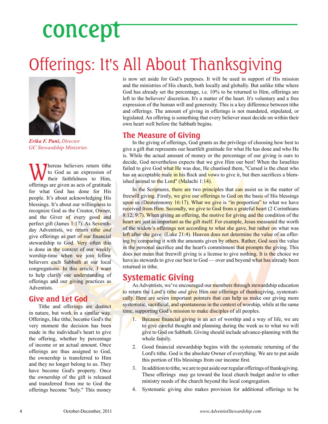## concept

### Offerings: It's All About Thanksgiving



*Erika F. Puni***,** *Director GC Stewardship Ministries*

Whereas believers return tithe<br>to God as an expression of<br>their faithfulness to Him, to God as an expression of their faithfulness to Him, offerings are given as acts of gratitude for what God has done for His people. It's about acknowledging His blessings. It's about our willingness to recognize God as the Creator, Owner, and the Giver of every good and perfect gift (James 1:17). As Seventhday Adventists, we return tithe *and* give offerings as part of our financial stewardship to God. Very often this is done in the context of our weekly worship-time when we join fellow believers each Sabbath at our local congregations. In this article, I want to help clarify our understanding of offerings and our giving practices as Adventists.

#### **Give and Let God**

Tithe and offerings are distinct in nature, but work in a similar way. Offerings, like tithe, become God's the very moment the decision has been made in the individual's heart to give the offering, whether by percentage of income or an actual amount. Once offerings are thus assigned to God, the ownership is transferred to Him and they no longer belong to us. They have become God's property. Once the ownership of the gift is released and transferred from me to God the offerings become "holy." This money

is now set aside for God's purposes. It will be used in support of His mission and the ministries of His church, both locally and globally. But unlike tithe where God has already set the percentage, i.e. 10% to be returned to Him, offerings are left to the believers' discretion. It's a matter of the heart. It's voluntary and a free expression of the human will and generosity. This is a key difference between tithe and offerings. The amount of giving in offerings is not mandated, stipulated, or legislated. An offering is something that every believer must decide on within their own heart well before the Sabbath begins.

#### **The Measure of Giving**

In the giving of offerings, God grants us the privilege of choosing how best to give a gift that represents our heartfelt gratitude for what He has done and who He is. While the actual amount of money or the percentage of our giving is ours to decide, God nevertheless expects that we give Him our best! When the Israelites failed to give God what He was due, He chastised them, "Cursed is the cheat who has an acceptable male in his flock and vows to give it, but then sacrifices a blemished animal to the Lord" (Malachi 1:14).

In the Scriptures, there are two principles that can assist us in the matter of freewill giving. Firstly, we give our offerings to God on the basis of His blessings upon us (Deuteronomy 16:17). What we give is "in proportion" to what we have received from Him. Secondly, we give to God from a grateful heart (2 Corinthians 8:12; 9:7). When giving an offering, the motive for giving and the condition of the heart are just as important as the gift itself. For example, Jesus measured the worth of the widow's offerings not according to what she gave, but rather on what was left after she gave (Luke 21:4). Heaven does not determine the value of an offering by comparing it with the amounts given by others. Rather, God sees the value in the personal sacrifice and the heart's commitment that prompts the giving. This does not mean that freewill giving is a license to give nothing. It is the choice we have as stewards to give our best to God — over and beyond what has already been returned in tithe.

#### **Systematic Giving**

As Adventists, we've encouraged our members through stewardship education to return the Lord's tithe *and* give Him our offerings of thanksgiving, systematically. Here are seven *important pointers that can help us make our giving more* systematic, sacrificial, and spontaneous in the context of worship, while at the same time, supporting God's mission to make disciples of all peoples.

- 1. Because financial giving is an act of worship and a way of life, we are to give careful thought and planning during the week as to what we will give to God on Sabbath. Giving should include advance-planning with the whole family.
- 2. Good financial stewardship begins with the systematic returning of the Lord's tithe. God is the absolute Owner of everything. We are to put aside this portion of His blessings from our income first.
- 3. In addition to tithe, we are to put aside our regular offerings of thanksgiving. These offerings may go toward the local church budget and/or to other ministry needs of the church beyond the local congregation.
- 4. Systematic giving also makes provision for additional offerings to be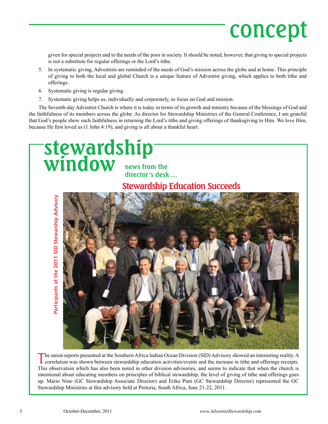## concept

given for special projects and to the needs of the poor in society. It should be noted, however, that giving to special projects is not a substitute for regular offerings or the Lord's tithe.

- 5. In systematic giving, Adventists are reminded of the needs of God's mission across the globe and at home. This principle of giving to both the local and global Church is a unique feature of Adventist giving, which applies to both tithe and offerings.
- 6. Systematic giving is regular giving.
- 7. Systematic giving helps us, individually and corporately, to focus on God and mission.

The Seventh-day Adventist Church is where it is today in terms of its growth and ministry because of the blessings of God and the faithfulness of its members across the globe. As director for Stewardship Ministries of the General Conference, I am grateful that God's people show such faithfulness in returning the Lord's tithe and giving offerings of thanksgiving to Him. We love Him, because He first loved us (1 John 4:19), and giving is all about a thankful heart.



The union reports presented at the Southern Africa Indian Ocean Division (SID) Advisory showed an interesting reality. A correlation was shown between stewardship education activities/events and the increase in tithe and o This observation which has also been noted in other division advisories, and seems to indicate that when the church is intentional about educating members on principles of biblical stewardship, the level of giving of tithe and offerings goes up. Mario Nino (GC Stewardship Associate Director) and Erika Puni (GC Stewardship Director) represented the GC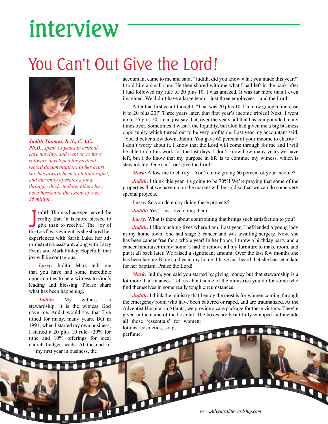## interview

### You Can't Out Give the Lord!



*Judith Thomas, R.N., C.A.C., Ph.D., spent 13 years in criticalcare nursing, and went on to have software developed for medical record documentation. In her heart she has always been a philanthropist, and currently operates a fund, through which, to date, others have been blessed to the extent of over \$6 million.*

Judith Thomas has experienced the reality that "it is more blessed to give than to receive." The "joy of the Lord" was evident as she shared her udith Thomas has experienced the reality that "it is more blessed to give than to receive." The "joy of experiences with Sarah Luke, her administrative assistant, along with Larry Evans and Mark Finley. Hopefully that joy will be contagious.

*Larry:* Judith, Mark tells me that you have had some incredible opportunities to be a witness to God's leading and blessing. Please share what has been happening.

*Judith:* My witness is stewardship. It is the witness God gave me. And I would say that I've tithed for many, many years. But in 1991, when I started my own business, I started a 20 plus 10 rule—20% for tithe and 10% offerings for local church budget needs. At the end of my first year in business, the

П

accountant came to me and said, "Judith, did you know what you made this year?" I told him a small sum. He then shared with me what I had left in the bank after I had followed my rule of 20 plus 10. I was amazed. It was far more than I even imagined. We didn't have a large team—just three employees—and the Lord!

After that first year I thought, "That was 20 plus 10. I'm now going to increase it to 20 plus 20!" Three years later, that first year's income tripled! Next, I went up to 25 plus 20. I can just say that, over the years, all that has compounded many times over. Sometimes it wasn't the liquidity, but God had given me a big business opportunity which turned out to be very profitable. Last year my accountant said, "You'd better slow down, Judith. You gave 60 percent of your income to charity!" I don't worry about it. I know that the Lord will come through for me and I will be able to do this work for the last days. I don't know how many years we have left, but I do know that my purpose in life is to continue my witness, which is stewardship. One can't out give the Lord!

*Mark:* Allow me to clarify—You're now giving 60 percent of your income?

*Judith:* I think this year it's going to be 70%! We're praying that some of the properties that we have up on the market will be sold so that we can do some very special projects.

*Larry:* So you do enjoy doing these projects?

*Judith:* Yes, I just love doing them!

*Larry:* What is there about contributing that brings such satisfaction to you?

*Judith:* I like touching lives where I am. Last year, I befriended a young lady in my home town. She had stage 3 cancer and was awaiting surgery. Now, she has been cancer free for a whole year! In her honor, I threw a birthday party and a cancer fundraiser in my home! I had to remove all my furniture to make room, and put it all back later. We raised a significant amount. Over the last few months she has been having Bible studies in my home. I have just heard that she has set a date for her baptism. Praise the Lord!

*Mark:* Judith, you said you started by giving money but that stewardship is a lot more than finances. Tell us about some of the ministries you do for some who find themselves in some really tough circumstances.

*Judith*: I think the ministry that I enjoy the most is for women coming through the emergency room who have been battered or raped, and are traumatized. At the Adventist Hospital in Atlanta, we provide a care package for these victims. They're given in the name of the hospital. The boxes are beautifully wrapped and include all those 'essentials' for women:

lotions, cosmetics, soap, ocal<br>docal<br>dof<br>docal<br>docal<br>docal<br>docal<br>docal<br>docal<br>docal

6 October-December, 2011 *www.AdventistStewardship.com*

**DIT** 

П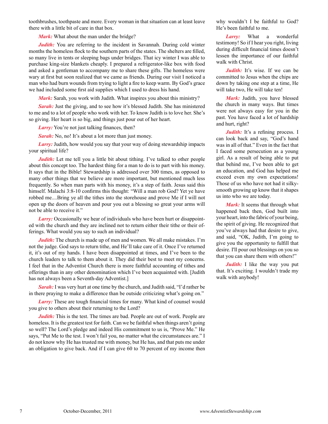toothbrushes, toothpaste and more. Every woman in that situation can at least leave there with a little bit of care in that box.

*Mark:* What about the man under the bridge?

*Judith:* You are referring to the incident in Savannah. During cold winter months the homeless flock to the southern parts of the states. The shelters are filled, so many live in tents or sleeping bags under bridges. That icy winter I was able to purchase king-size blankets cheaply. I prepared a refrigerator-like box with food and asked a gentleman to accompany me to share these gifts. The homeless were wary at first but soon realized that we came as friends. During our visit I noticed a man who had burn wounds from trying to light a fire to keep warm. By God's grace we had included some first aid supplies which I used to dress his hand.

*Mark:* Sarah, you work with Judith. What inspires you about this ministry?

**Sarah:** Just the giving, and to see how it's blessed Judith. She has ministered to me and to a lot of people who work with her. To know Judith is to love her. She's so giving. Her heart is so big, and things just pour out of her heart.

*Larry:* You're not just talking finances, then?

*Sarah:* No, no! It's about a lot more than just money.

*Larry:* Judith, how would you say that your way of doing stewardship impacts your spiritual life?

*Judith:* Let me tell you a little bit about tithing. I've talked to other people about this concept too. The hardest thing for a man to do is to part with his money. It says that in the Bible! Stewardship is addressed over 300 times, as opposed to many other things that we believe are more important, but mentioned much less frequently. So when man parts with his money, it's a step of faith. Jesus said this himself. Malachi 3:8-10 confirms this thought: "Will a man rob God? Yet ye have robbed me....Bring ye all the tithes into the storehouse and prove Me if I will not open up the doors of heaven and pour you out a blessing so great your arms will not be able to receive it."

*Larry:* Occasionally we hear of individuals who have been hurt or disappointed with the church and they are inclined not to return either their tithe or their offerings. What would you say to such an individual?

*Judith*: The church is made up of men and women. We all make mistakes. I'm not the judge. God says to return tithe, and He'll take care of it. Once I've returned it, it's out of my hands. I have been disappointed at times, and I've been to the church leaders to talk to them about it. They did their best to meet my concerns. I feel that in the Adventist Church there is more faithful accounting of tithes and offerings than in any other denomination which I've been acquainted with. [Judith has not always been a Seventh-day Adventist.]

*Sarah:* I was very hurt at one time by the church, and Judith said, "I'd rather be in there praying to make a difference than be outside criticizing what's going on."

**Larry:** These are tough financial times for many. What kind of counsel would you give to others about their returning to the Lord?

*Judith:* This is the test. The times are bad. People are out of work. People are homeless. It is the greatest test for faith. Can we be faithful when things aren't going so well? The Lord's pledge and indeed His commitment to us is, "Prove Me." He says, "Put Me to the test. I won't fail you, no matter what the circumstances are." I do not know why He has trusted me with money, but He has, and that puts me under an obligation to give back. And if I can give 60 to 70 percent of my income then why wouldn't I be faithful to God? He's been faithful to me.

*Larry:* What a wonderful testimony! So if I hear you right, living during difficult financial times doesn't lessen the importance of our faithful walk with Christ.

*Judith:* It's wise. If we can be committed to Jesus when the chips are down by taking one step at a time, He will take two, He will take ten!

*Mark:* Judith, you have blessed the church in many ways. But times were not always easy for you in the past. You have faced a lot of hardship and hurt, right?

*Judith:* It's a refining process. I can look back and say, "God's hand was in all of that." Even in the fact that I faced some persecution as a young girl. As a result of being able to put that behind me, I've been able to get an education, and God has helped me exceed even my own expectations! Those of us who have not had it silkysmooth growing up know that it shapes us into who we are today.

*Mark:* It seems that through what happened back then, God built into your heart, into the fabric of your being, the spirit of giving. He recognized that you've always had that desire to give, and said, "OK, Judith, I'm going to give you the opportunity to fulfill that desire. I'll pour out blessings on you so that you can share them with others!"

*Judith:* I like the way you put that. It's exciting. I wouldn't trade my walk with anybody!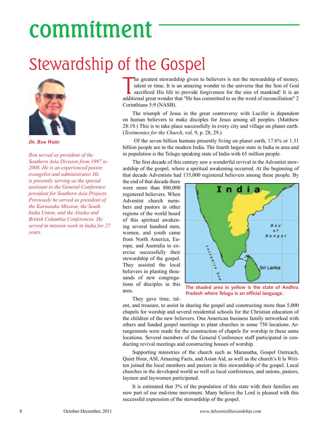## commitment

### Stewardship of the Gospel



*Dr. Ron Watts*

*Ron served as president of the Southern Asia Division from 1997 to 2008. He is an experienced pastor, evangelist and administrator. He is presently serving as the special assistant to the General Conference president for Southern Asia Projects. Previously he served as president of the Karnataka Mission, the South India Union, and the Alaska and British Columbia Conferences. He served in mission work in India for 27 years.*

The greatest stewardship given to believers is not the stewardship of money, talent or time. It is an amazing wonder to the universe that the Son of God sacrificed His life to provide forgiveness for the sins of mankind! I he greatest stewardship given to believers is not the stewardship of money, talent or time. It is an amazing wonder to the universe that the Son of God sacrificed His life to provide forgiveness for the sins of mankind! It is an Corinthians 5:9 (NASB).

The triumph of Jesus in the great controversy with Lucifer is dependent on human believers to make disciples for Jesus among all peoples. (Matthew 28:19.) This is to take place successfully in every city and village on planet earth. (*Testimonies for the Church*, vol. 9, p. 28, 29.)

 Of the seven billion humans presently living on planet earth, 17.6% or 1.31 billion people are in the modern India. The fourth largest state in India in area and in population is the Telugu speaking state of India with 65 million people.

The first decade of this century saw a wonderful revival in the Adventist stewardship of the gospel, where a spiritual awakening occurred. At the beginning of that decade Adventists had 135,000 registered believers among these people. By

the end of that decade there were more than 800,000 registered believers. When Adventist church members and pastors in other regions of the world heard of this spiritual awakening several hundred men, women, and youth came from North America, Europe, and Australia to exercise successfully their stewardship of the gospel. They assisted the local believers in planting thousands of new congregations of disciples in this area.



**The shaded area in yellow is the state of Andhra Pradesh where Telugu is an official language.**

They gave time, tal-

ent, and treasure, to assist in sharing the gospel and constructing more than 5,000 chapels for worship and several residential schools for the Christian education of the children of the new believers. One American business family networked with others and funded gospel meetings to plant churches in some 750 locations. Arrangements were made for the construction of chapels for worship in these same locations. Several members of the General Conference staff participated in conducting revival meetings and constructing houses of worship.

Supporting ministries of the church such as Maranatha, Gospel Outreach, Quiet Hour, ASI, Amazing Facts, and Asian Aid, as well as the church's It Is Written joined the local members and pastors in this stewardship of the gospel. Local churches in the developed world as well as local conferences, and unions, pastors, laymen and laywomen participated.

It is estimated that 3% of the population of this state with their families are now part of our end-time movement. Many believe the Lord is pleased with this successful expression of the stewardship of the gospel.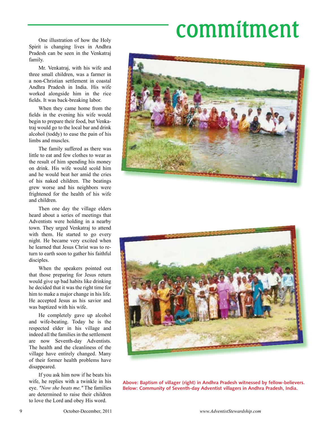## commitment

One illustration of how the Holy Spirit is changing lives in Andhra Pradesh can be seen in the Venkatraj family.

Mr. Venkatraj, with his wife and three small children, was a farmer in a non-Christian settlement in coastal Andhra Pradesh in India. His wife worked alongside him in the rice fields. It was back-breaking labor.

When they came home from the fields in the evening his wife would begin to prepare their food, but Venkatraj would go to the local bar and drink alcohol (toddy) to ease the pain of his limbs and muscles.

The family suffered as there was little to eat and few clothes to wear as the result of him spending his money on drink. His wife would scold him and he would beat her amid the cries of his naked children. The beatings grew worse and his neighbors were frightened for the health of his wife and children.

Then one day the village elders heard about a series of meetings that Adventists were holding in a nearby town. They urged Venkatraj to attend with them. He started to go every night. He became very excited when he learned that Jesus Christ was to return to earth soon to gather his faithful disciples.

When the speakers pointed out that those preparing for Jesus return would give up bad habits like drinking he decided that it was the right time for him to make a major change in his life. He accepted Jesus as his savior and was baptized with his wife.

He completely gave up alcohol and wife-beating. Today he is the respected elder in his village and indeed all the families in the settlement are now Seventh-day Adventists. The health and the cleanliness of the village have entirely changed. Many of their former health problems have disappeared.

If you ask him now if he beats his wife, he replies with a twinkle in his eye. *"Now she beats me."* The families are determined to raise their children to love the Lord and obey His word.





**Above: Baptism of villager (right) in Andhra Pradesh witnessed by fellow-believers. Below: Community of Seventh-day Adventist villagers in Andhra Pradesh, India.**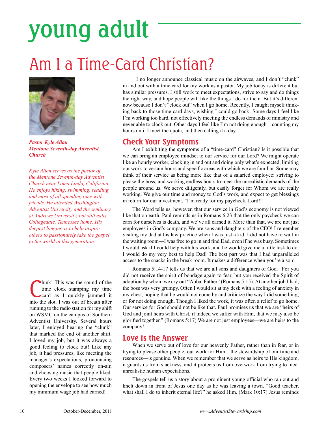## young adult

### Am I a Time-Card Christian?



*Pastor Kyle Allan Mentone Seventh-day Adventist Church*

*Kyle Allen serves as the pastor of the Mentone Seventh-day Adventist Church near Loma Linda, California. He enjoys hiking, swimming, reading and most of all spending time with friends. He attended Washington Adventist University and the seminary at Andrews University, but still calls Collegedale, Tennessee home. His deepest longing is to help inspire others to passionately take the gospel to the world in this generation.*

**C** lunk! This was the sound of the time clock stamping my time card as I quickly jammed it into the slot. I was out of breath after lunk! This was the sound of the time clock stamping my time card as I quickly jammed it running to the radio station for my shift on WSMC on the campus of Southern Adventist University. Several hours later, I enjoyed hearing the "clunk" that marked the end of another shift. I loved my job, but it was always a good feeling to clock out! Like any job, it had pressures, like meeting the manager's expectations, pronouncing composers' names correctly on-air, and choosing music that people liked. Every two weeks I looked forward to opening the envelope to see how much my minimum wage job had earned!

I no longer announce classical music on the airwaves, and I don't "clunk" in and out with a time card for my work as a pastor. My job today is different but has similar pressures. I still work to meet expectations, strive to say and do things the right way, and hope people will like the things I do for them. But it's different now because I don't "clock out" when I go home. Recently, I caught myself thinking back to those time-card days, wishing I could go back! Some days I feel like I'm working too hard, not effectively meeting the endless demands of ministry and never able to clock out. Other days I feel like I'm not doing enough—counting my hours until I meet the quota, and then calling it a day.

#### **Check Your Symptoms**

Am I exhibiting the symptoms of a "time-card" Christian? Is it possible that we can bring an employee mindset to our service for our Lord? We might operate like an hourly worker, clocking in and out and doing only what's expected, limiting our work to certain hours and specific areas with which we are familiar. Some may think of their service as being more like that of a salaried employee: striving to please the boss, and working endless hours to meet the unrealistic demands of the people around us. We serve diligently, but easily forget for Whom we are really working. We give our time and money to God's work, and expect to get blessings in return for our investment. "I'm ready for my paycheck, Lord!"

The Word tells us, however, that our service in God's economy is not viewed like that on earth. Paul reminds us in Romans 6:23 that the only paycheck we can earn for ourselves is death, and we've all earned it. More than that, we are not just employees in God's company. We are sons and daughters of the CEO! I remember visiting my dad at his law practice when I was just a kid. I did not have to wait in the waiting room—I was free to go in and find Dad, even if he was busy. Sometimes I would ask if I could help with his work, and he would give me a little task to do. I would do my very best to help Dad! The best part was that I had unparalleled access to the snacks in the break room. It makes a difference when you're a son!

Romans 5:14-17 tells us that we are all sons and daughters of God. "For you did not receive the spirit of bondage again to fear, but you received the Spirit of adoption by whom we cry out "Abba, Father" (Romans 5:15). At another job I had, the boss was very grumpy. Often I would sit at my desk with a feeling of anxiety in my chest, hoping that he would not come by and criticize the way I did something, or for not doing enough. Though I liked the work, it was often a relief to go home. Our service for God should not be like that. Paul promises us that we are "heirs of God and joint heirs with Christ, if indeed we suffer with Him, that we may also be glorified together." (Romans 5:17) We are not just employees—we are heirs to the company!

#### **Love is the Answer**

When we serve out of love for our heavenly Father, rather than in fear, or in trying to please other people, our work for Him—the stewardship of our time and resources—is genuine. When we remember that we serve as heirs to His kingdom, it guards us from slackness, and it protects us from overwork from trying to meet unrealistic human expectations.

The gospels tell us a story about a prominent young official who ran out and knelt down in front of Jesus one day as he was leaving a town. "Good teacher, what shall I do to inherit eternal life?" he asked Him. (Mark 10:17) Jesus reminds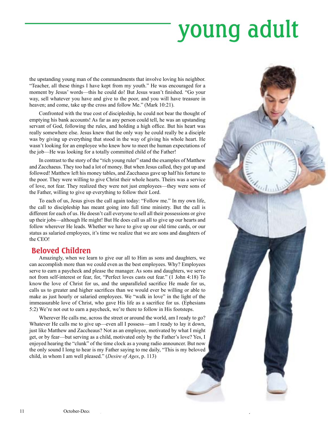## young adult

the upstanding young man of the commandments that involve loving his neighbor. "Teacher, all these things I have kept from my youth." He was encouraged for a moment by Jesus' words—this he could do! But Jesus wasn't finished. "Go your way, sell whatever you have and give to the poor, and you will have treasure in heaven; and come, take up the cross and follow Me." (Mark 10:21).

Confronted with the true cost of discipleship, he could not bear the thought of emptying his bank accounts! As far as any person could tell, he was an upstanding servant of God, following the rules, and holding a high office. But his heart was really somewhere else. Jesus knew that the only way he could really be a disciple was by giving up everything that stood in the way of giving his whole heart. He wasn't looking for an employee who knew how to meet the human expectations of the job—He was looking for a totally committed child of the Father!

In contrast to the story of the "rich young ruler" stand the examples of Matthew and Zacchaeus. They too had a lot of money. But when Jesus called, they got up and followed! Matthew left his money tables, and Zacchaeus gave up half his fortune to the poor. They were willing to give Christ their whole hearts. Theirs was a service of love, not fear. They realized they were not just employees—they were sons of the Father, willing to give up everything to follow their Lord.

To each of us, Jesus gives the call again today: "Follow me." In my own life, the call to discipleship has meant going into full time ministry. But the call is different for each of us. He doesn't call everyone to sell all their possessions or give up their jobs—although He might! But He does call us all to give up our hearts and follow wherever He leads. Whether we have to give up our old time cards, or our status as salaried employees, it's time we realize that we are sons and daughters of the CEO!

#### **Beloved Children**

Amazingly, when we learn to give our all to Him as sons and daughters, we can accomplish more than we could even as the best employees. Why? Employees serve to earn a paycheck and please the manager. As sons and daughters, we serve not from self-interest or fear, for, "Perfect loves casts out fear." (1 John 4:18) To know the love of Christ for us, and the unparalleled sacrifice He made for us, calls us to greater and higher sacrifices than we would ever be willing or able to make as just hourly or salaried employees. We "walk in love" in the light of the immeasurable love of Christ, who gave His life as a sacrifice for us. (Ephesians 5:2) We're not out to earn a paycheck, we're there to follow in His footsteps.

Wherever He calls me, across the street or around the world, am I ready to go? Whatever He calls me to give up—even all I possess—am I ready to lay it down, just like Matthew and Zaccheaus? Not as an employee, motivated by what I might get, or by fear—but serving as a child, motivated only by the Father's love? Yes, I enjoyed hearing the "clunk" of the time clock as a young radio announcer. But now the only sound I long to hear is my Father saying to me daily, "This is my beloved child, in whom I am well pleased." (*Desire of Ages*, p. 113)

11 October-December, 2011 **www.Adventist.Commercements.com**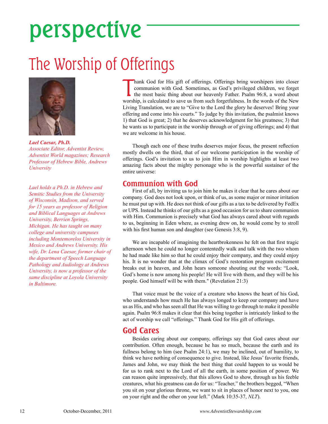## perspective

### The Worship of Offerings



*Lael Caesar, Ph.D. Associate Editor, Adventist Review, Adventist World magazines; Research Professor of Hebrew Bible, Andrews University*

*Lael holds a Ph.D. in Hebrew and Semitic Studies from the University of Wisconsin, Madison, and served for 15 years as professor of Religion and Biblical Languages at Andrews University, Berrien Springs, Michigan. He has taught on many college and university campuses including Montemorelos University in Mexico and Andrews University. His wife, Dr. Lena Caesar, former chair of the department of Speech Language Pathology and Audiology at Andrews University, is now a professor of the same discipline at Loyola University in Baltimore.* 

hank God for His gift of offerings. Offerings bring worshipers into closer communion with God. Sometimes, as God's privileged children, we forget the most basic thing about our heavenly Father. Psalm 96:8, a word about wor hank God for His gift of offerings. Offerings bring worshipers into closer communion with God. Sometimes, as God's privileged children, we forget the most basic thing about our heavenly Father. Psalm 96:8, a word about Living Translation, we are to "Give to the Lord the glory he deserves! Bring your offering and come into his courts." To judge by this invitation, the psalmist knows 1) that God is great; 2) that he deserves acknowledgment for his greatness; 3) that he wants us to participate in the worship through or of giving offerings; and 4) that we are welcome in his house.

Though each one of these truths deserves major focus, the present reflection mostly dwells on the third, that of our welcome participation in the worship of offerings. God's invitation to us to join Him in worship highlights at least two amazing facts about the mighty personage who is the powerful sustainer of the entire universe:

#### **Communion with God**

First of all, by inviting us to join him he makes it clear that he cares about our company. God does not look upon, or think of us, as some major or minor irritation he must put up with. He does not think of our gifts as a tax to be delivered by FedEx or UPS. Instead he thinks of our gifts as a good occasion for us to share communion with Him. Communion is precisely what God has always cared about with regards to us, beginning in Eden where, as evening drew on, he would come by to stroll with his first human son and daughter (see Genesis 3:8, 9).

We are incapable of imagining the heartbrokenness he felt on that first tragic afternoon when he could no longer contentedly walk and talk with the two whom he had made like him so that he could enjoy their company, and they could enjoy his. It is no wonder that at the climax of God's restoration program excitement breaks out in heaven, and John hears someone shouting out the words: "Look, God's home is now among his people! He will live with them, and they will be his people. God himself will be with them." (Revelation 21:3)

That voice must be the voice of a creature who knows the heart of his God, who understands how much He has always longed to keep our company and have us as His, and who has seen all that He was willing to go through to make it possible again. Psalm 96:8 makes it clear that this being together is intricately linked to the act of worship we call "offerings." Thank God for His gift of offerings.

#### **God Cares**

Besides caring about our company, offerings say that God cares about our contribution. Often enough, because he has so much, because the earth and its fullness belong to him (see Psalm 24:1), we may be inclined, out of humility, to think we have nothing of consequence to give. Instead, like Jesus' favorite friends, James and John, we may think the best thing that could happen to us would be for us to rank next to the Lord of all the earth, in some position of power. We can reason quite impressively, that this allows God to show, through us his feeble creatures, what his greatness can do for us: "Teacher," the brothers begged, "When you sit on your glorious throne, we want to sit in places of honor next to you, one on your right and the other on your left." (Mark 10:35-37, *NLT*).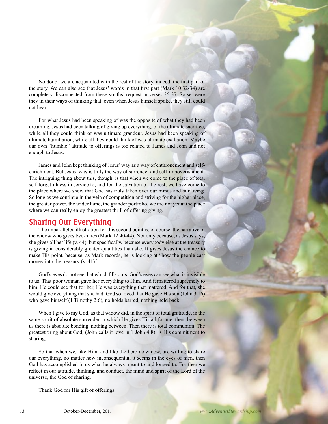No doubt we are acquainted with the rest of the story, indeed, the first part of the story. We can also see that Jesus' words in that first part (Mark 10:32-34) are completely disconnected from these youths' request in verses 35-37. So set were they in their ways of thinking that, even when Jesus himself spoke, they still could not hear.

For what Jesus had been speaking of was the opposite of what they had been dreaming. Jesus had been talking of giving up everything, of the ultimate sacrifice, while all they could think of was ultimate grandeur. Jesus had been speaking of ultimate humiliation, while all they could think of was ultimate exaltation. Maybe our own "humble" attitude to offerings is too related to James and John and not enough to Jesus.

James and John kept thinking of Jesus' way as a way of enthronement and selfenrichment. But Jesus' way is truly the way of surrender and self-impoverishment. The intriguing thing about this, though, is that when we come to the place of total self-forgetfulness in service to, and for the salvation of the rest, we have come to the place where we show that God has truly taken over our minds and our living. So long as we continue in the vein of competition and striving for the higher place, the greater power, the wider fame, the grander portfolio, we are not yet at the place where we can really enjoy the greatest thrill of offering giving.

#### **Sharing Our Everything**

The unparalleled illustration for this second point is, of course, the narrative of the widow who gives two-mites (Mark 12:40-44). Not only because, as Jesus says, she gives all her life (v. 44), but specifically, because everybody else at the treasury is giving in considerably greater quantities than she. It gives Jesus the chance to make His point, because, as Mark records, he is looking at "how the people cast money into the treasury (v. 41)."

God's eyes do not see that which fills ours. God's eyes can see what is invisible to us. That poor woman gave her everything to Him. And it mattered supremely to him. He could see that for her, He was everything that mattered. And for that, she would give everything that she had. God so loved that He gave His son (John 3:16) who gave himself (1 Timothy 2:6), no holds barred, nothing held back.

When I give to my God, as that widow did, in the spirit of total gratitude, in the same spirit of absolute surrender in which He gives His all for me, then, between us there is absolute bonding, nothing between. Then there is total communion. The greatest thing about God, (John calls it love in 1 John 4:8), is His commitment to sharing.

So that when we, like Him, and like the heroine widow, are willing to share our everything, no matter how inconsequential it seems in the eyes of men, then God has accomplished in us what he always meant to and longed to. For then we reflect in our attitude, thinking, and conduct, the mind and spirit of the Lord of the universe, the God of sharing.

Thank God for His gift of offerings.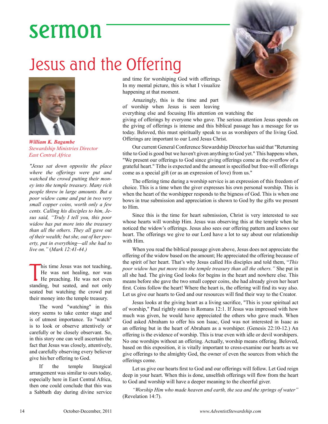## sermon

### Jesus and the Offering



*William K. Bagambe Stewardship Ministries Director East Central Africa*

*"Jesus sat down opposite the place where the offerings were put and watched the crowd putting their money into the temple treasury. Many rich people threw in large amounts. But a poor widow came and put in two very small copper coins, worth only a few cents. Calling his disciples to him, Jesus said, "Truly I tell you, this poor widow has put more into the treasury than all the others. They all gave out of their wealth; but she, out of her poverty, put in everything—all she had to live on."* (*Mark 12:41-44.)*

his time Jesus was not teaching,<br>He was not healing, nor was<br>He preaching. He was not even his time Jesus was not teaching, He was not healing, nor was standing, but seated, and not only seated but watching the crowd put their money into the temple treasury.

The word "watching" in this story seems to take center stage and is of utmost importance. To "watch" is to look or observe attentively or carefully or be closely observant. So, in this story one can well ascertain the fact that Jesus was closely, attentively, and carefully observing every believer give his/her offering to God.

If the temple liturgical arrangement was similar to ours today, especially here in East Central Africa, then one could conclude that this was a Sabbath day during divine service and time for worshiping God with offerings. In my mental picture, this is what I visualize happening at that moment.

Amazingly, this is the time and part of worship when Jesus is seen leaving



the giving of offerings is intense and this biblical passage has a message for us today. Beloved, this must spiritually speak to us as worshipers of the living God. Offerings are important to our Lord Jesus Christ.

Our current General Conference Stewardship Director has said that "Returning tithe to God is good but we haven't given anything to God yet." This happens when, "We present our offerings to God since giving offerings come as the overflow of a grateful heart." Tithe is expected and the amount is specified but free-will offerings come as a special gift (or as an expression of love) from us."

The offering time during a worship service is an expression of this freedom of choice. This is a time when the giver expresses his own personal worship. This is when the heart of the worshipper responds to the bigness of God. This is when one bows in true submission and appreciation is shown to God by the gifts we present to Him.

Since this is the time for heart submission, Christ is very interested to see whose hearts will worship Him. Jesus was observing this at the temple when he noticed the widow's offerings. Jesus also sees our offering pattern and knows our heart. The offerings we give to our Lord have a lot to say about our relationship with Him.

When you read the biblical passage given above, Jesus does not appreciate the offering of the widow based on the amount; He appreciated the offering because of the spirit of her heart. That's why Jesus called His disciples and told them, "*This poor widow has put more into the temple treasury than all the others."* She put in all she had. The giving God looks for begins in the heart and nowhere else. This means before she gave the two small copper coins, she had already given her heart first. Coins follow the heart! Where the heart is, the offering will find its way also. Let us give our hearts to God and our resources will find their way to the Creator.

Jesus looks at the giving heart as a living sacrifice, "This is your spiritual act of worship," Paul rightly states in Romans 12:1. If Jesus was impressed with how much was given, he would have appreciated the others who gave much. When God asked Abraham to offer his son Isaac, God was not interested in Isaac as an offering but in the heart of Abraham as a worshiper. (Genesis 22:10-12.) An offering is the evidence of worship. This is true even with idle or devil worshipers. No one worships without an offering. Actually, worship means offering. Beloved, based on this exposition, it is vitally important to cross-examine our hearts as we give offerings to the almighty God, the owner of even the sources from which the offerings come.

Let us give our hearts first to God and our offerings will follow. Let God reign deep in your heart. When this is done, unselfish offerings will flow from the heart to God and worship will have a deeper meaning to the cheerful giver.

*"Worship Him who made heaven and earth, the sea and the springs of water"* (Revelation 14:7).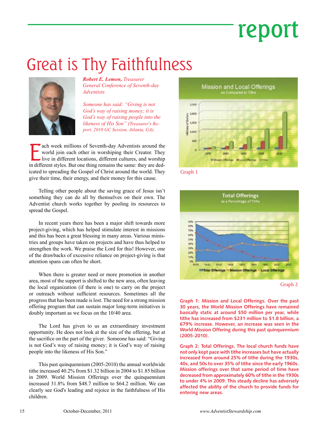## report

### Great is Thy Faithfulness



*Robert E. Lemon, Treasurer General Conference of Seventh-day Adventists*

*Someone has said: "Giving is not God's way of raising money; it is God's way of raising people into the likeness of His Son" (Treasurer's Report, 2010 GC Session, Atlanta, GA).* 

**Example 15 and 16 and 16 and 16 and 16 and 16 and 16 and 16 and 16 and 16 and 16 and 16 and 16 and 16 and 16 and 16 and 16 and 16 and 16 and 16 and 16 and 16 and 16 and 16 and 16 and 16 and 16 and 16 and 16 and 16 and 16** ach week millions of Seventh-day Adventists around the world join each other in worshiping their Creator. They live in different locations, different cultures, and worship icated to spreading the Gospel of Christ around the world. They give their time, their energy, and their money for this cause.

Telling other people about the saving grace of Jesus isn't something they can do all by themselves on their own. The Adventist church works together by pooling its resources to spread the Gospel.

In recent years there has been a major shift towards more project-giving, which has helped stimulate interest in missions and this has been a great blessing in many areas. Various ministries and groups have taken on projects and have thus helped to strengthen the work. We praise the Lord for this! However, one of the drawbacks of excessive reliance on project-giving is that attention spans can often be short.

When there is greater need or more promotion in another area, most of the support is shifted to the new area, often leaving the local organization (if there is one) to carry on the project or outreach without sufficient resources. Sometimes all the progress that has been made is lost. The need for a strong mission offering program that can sustain major long-term initiatives is doubly important as we focus on the 10/40 area.

The Lord has given to us an extraordinary investment opportunity. He does not look at the size of the offering, but at the sacrifice on the part of the giver. Someone has said: "Giving is not God's way of raising money; it is God's way of raising people into the likeness of His Son."

This past quinquennium (2005-2010) the annual worldwide tithe increased 40.2% from \$1.32 billion in 2004 to \$1.85 billion in 2009. World Mission Offerings over the quinquennium increased 31.8% from \$48.7 million to \$64.2 million. We can clearly see God's leading and rejoice in the faithfulness of His children.







Graph 2

**Graph 1: Mission and Local Offerings. Over the past 30 years, the World Mission Offerings have remained basically static at around \$50 million per year, while tithe has increased from \$231 million to \$1.8 billion, a 679% increase. However, an increase was seen in the World Mission Offering during this past quinquennium (2005-2010).**

**Graph 2: Total Offerings. The local church funds have not only kept pace with tithe increases but have actually increased from around 25% of tithe during the 1930s, 40s, and 50s to over 35% of tithe since the early 1960s. Mission offerings over that same period of time have decreased from approximately 60% of tithe in the 1930s to under 4% in 2009. This steady decline has adversely affected the ability of the church to provide funds for entering new areas.**